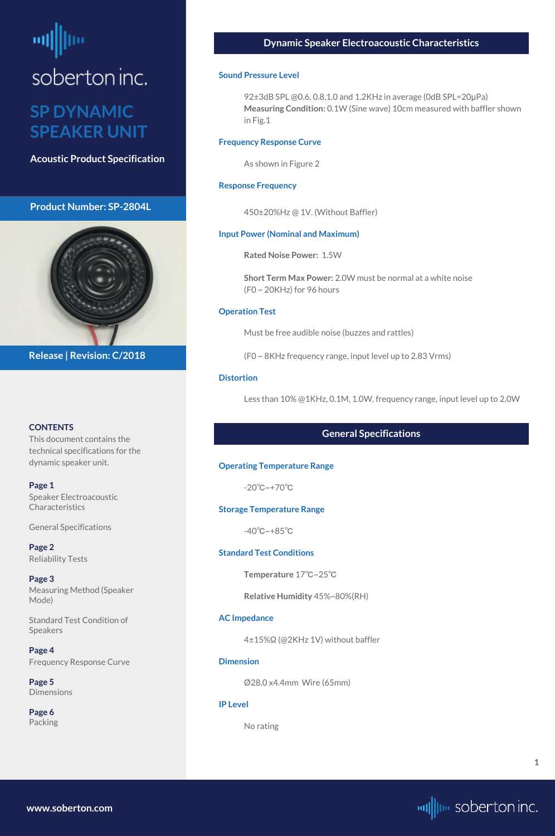# <span id="page-0-0"></span>soberton inc.

## **SP DYNAMIC SPEAKER UNIT**

**Acoustic Product Specification**

#### **Product Number: SP-2804L**



#### **CONTENTS**

This document contains the technical specifications for the dynamic speaker unit.

**[Page 5](#page-4-0) [Dimensions](#page-4-0)** 

**Page 1** Speaker Electroacoustic Characteristics

General Specifications

**[Page 2](#page-1-0)** [Reliability Tests](#page-1-0)

**[Page 3](#page-2-0)** [Measuring Method \(Speaker](#page-2-0)  [Mode\)](#page-2-0)

[Standard Test Condition of](#page-2-0)  [Speakers](#page-2-0)

**[Page 4](#page-3-0)** [Frequency Response Curve](#page-3-0)

**[Page 6](#page-5-0)** [Packing](#page-5-0)

**Release | Revision: C/2018**

#### **Dynamic Speaker Electroacoustic Characteristics**

#### **Sound Pressure Level**

92±3dB SPL @0.6, 0.8,1.0 and 1.2KHz in average (0dB SPL=20μPa) **Measuring Condition:** 0.1W (Sine wave) 10cm measured with baffler shown in Fig.1

#### **Frequency Response Curve**

As shown in Figure 2

#### **Response Frequency**

450±20%Hz @ 1V. (Without Baffler)

#### **Input Power (Nominal and Maximum)**

**Rated Noise Power:** 1.5W

**Short Term Max Power:** 2.0W must be normal at a white noise (F0 ~ 20KHz) for 96 hours

#### **Operation Test**

Must be free audible noise (buzzes and rattles)

(F0 ~ 8KHz frequency range, input level up to 2.83 Vrms)

#### **Distortion**

Less than 10% @1KHz, 0.1M, 1.0W, frequency range, input level up to 2.0W

#### **General Specifications**

#### **Operating Temperature Range**

-20℃~+70℃

#### **Storage Temperature Range**

-40℃~+85℃

#### **Standard Test Conditions**

**Temperature** 17℃~25℃

**Relative Humidity** 45%~80%(RH)

#### **AC Impedance**

4±15%Ω (@2KHz 1V) without baffler

#### **Dimension**

Ø28.0 x4.4mm Wire (65mm)

#### **IP Level**

No rating

**[www.soberton.com](http://www.soberton.com)**



**1**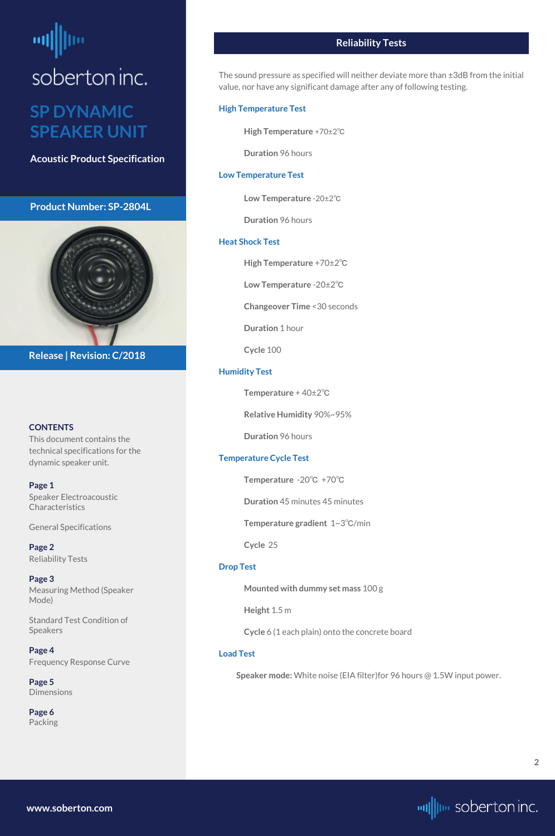# <span id="page-1-0"></span>soberton inc.

### **SP DYNAMIC SPEAKER UNIT**

**Acoustic Product Specification**

#### **Product Number: SP-2804L**



#### **CONTENTS**

**[Page 1](#page-0-0)** [Speaker Electroacoustic](#page-0-0)  **Characteristics** 

This document contains the technical specifications for the dynamic speaker unit.

**[Page 5](#page-4-0) [Dimensions](#page-4-0)** 

[General S](#page-0-0)pecifications

**Page 2** Reliability Tests

**[Page 3](#page-2-0)** [Measuring Method \(Speaker](#page-2-0)  [Mode\)](#page-2-0)

[Standard Test Condition of](#page-2-0)  [Speakers](#page-2-0)

**[Page 4](#page-3-0)** [Frequency Response Curve](#page-3-0)

**[Page 6](#page-5-0)** [Packing](#page-5-0)

**Release | Revision: C/2018**

#### **Reliability Tests**

The sound pressure as specified will neither deviate more than ±3dB from the initial value, nor have any significant damage after any of following testing.

#### **High Temperature Test**

**High Temperature** +70±2℃

**Duration** 96 hours

#### **Low Temperature Test**

**Low Temperature** -20±2℃

**Duration** 96 hours

#### **Heat Shock Test**

**High Temperature** +70±2℃

**Low Temperature** -20±2℃

**Changeover Time** <30 seconds

**Duration** 1 hour

**Cycle** 100

#### **Humidity Test**

**Temperature** + 40±2℃

**Relative Humidity** 90%~95%

**Duration** 96 hours

#### **Temperature Cycle Test**

**Temperature** -20℃ +70℃

**Duration** 45 minutes 45 minutes

**Temperature gradient** 1~3℃/min

**Cycle** 25

#### **Drop Test**

**Mounted with dummy set mass** 100 g

**Height** 1.5 m

**Cycle** 6 (1 each plain) onto the concrete board

#### **Load Test**

**Speaker mode:** White noise (EIA filter)for 96 hours @ 1.5W input power.

**[www.soberton.com](http://www.soberton.com)**

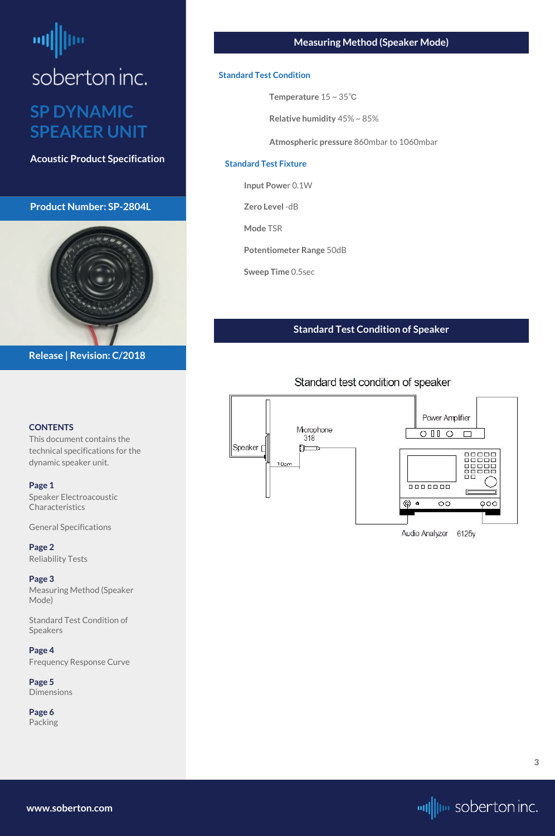## <span id="page-2-0"></span>뻬 soberton inc. **SP DYNAMIC SPEAKER UNIT**

**Acoustic Product Specification**

#### **Product Number: SP-2804L**

**CONTENTS**

This document contains the technical specifications for the

dynamic speaker unit.

**[Page 1](#page-0-0)**

[Speaker Electroacoustic](#page-0-0) 

[General S](#page-0-0)pecifications

**[Page 2](#page-1-0)** [Reliability Tests](#page-1-0)

**Page 3** Measuring Method (Speaker Mode)

Standard Test Condition of Speakers

**[Page 4](#page-3-0)** [Frequency Response Curve](#page-3-0)

**[Page 5](#page-4-0)** [Dimensions](#page-4-0)

**[Page 6](#page-5-0)** [Packing](#page-5-0)



**Release | Revision: C/2018**

#### **Measuring Method (Speaker Mode)**

#### **Standard Test Condition**

**Temperature** 15 ~ 35℃

**Relative humidity** 45% ~ 85%

**Atmospheric pressure** 860mbar to 1060mbar

#### **Standard Test Fixture**

**Input Powe**r 0.1W

**Zero Level** -dB

**Mode** TSR

**Potentiometer Range** 50dB

**Sweep Time** 0.5sec

#### **Standard Test Condition of Speaker**

#### Standard test condition of speaker



**Characteristics** 

**[www.soberton.com](http://www.soberton.com)**

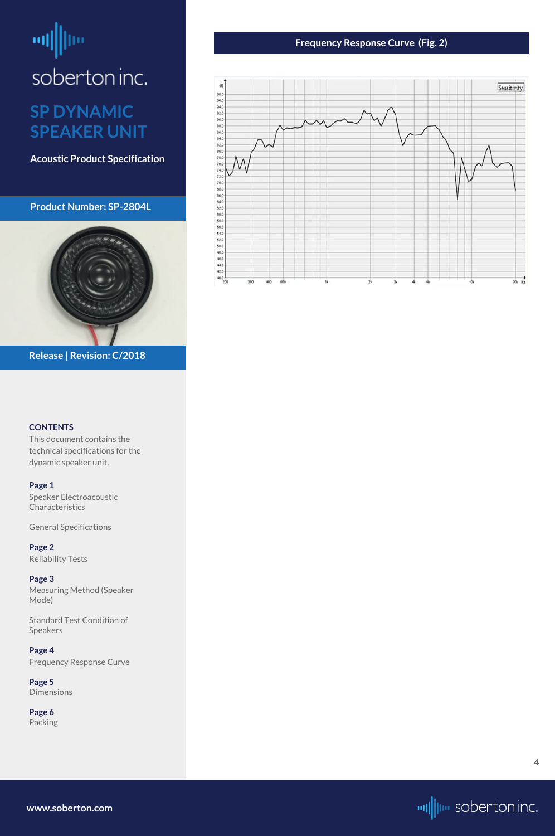# <span id="page-3-0"></span>od|||jie soberton inc.

### **SP DYNAMIC SPEAKER UNIT**

**Acoustic Product Specification**

#### **Product Number: SP-2804L**



#### **CONTENTS**

**[Page 1](#page-0-0)** [Speaker Electroacoustic](#page-0-0)  **Characteristics** 

This document contains the technical specifications for the dynamic speaker unit.

[General S](#page-0-0)pecifications

**[Page 2](#page-1-0)** [Reliability Tests](#page-1-0)

**[Page 3](#page-2-0)** [Measuring Method \(Speaker](#page-2-0)  [Mode\)](#page-2-0)

[Standard Test Condition of](#page-2-0)  [Speakers](#page-2-0)

**Page 4** Frequency Response Curve

**[Page 5](#page-4-0)** [Dimensions](#page-4-0)

**[Page 6](#page-5-0)** [Packing](#page-5-0)

**Release | Revision: C/2018**

#### **Frequency Response Curve (Fig. 2)**



**[www.soberton.com](http://www.soberton.com)**



**4**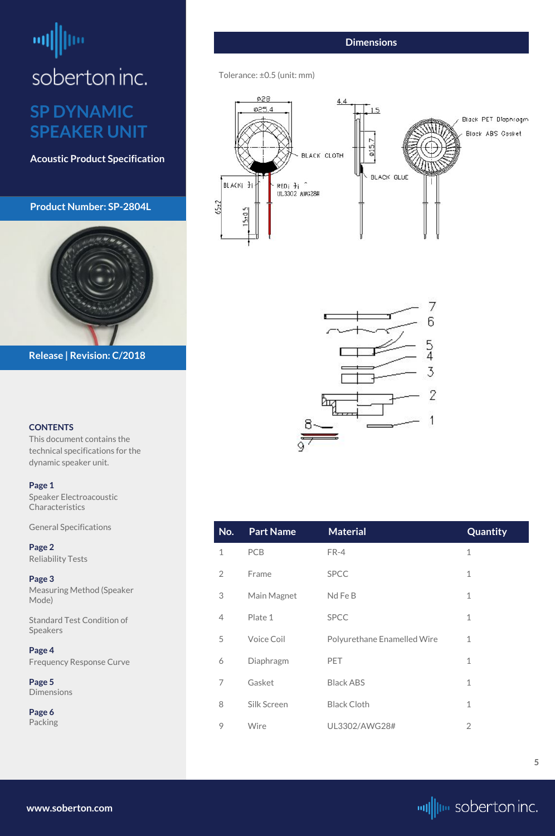# <span id="page-4-0"></span>ᆒ soberton inc. **SP DYNAMIC**

## **SPEAKER UNIT**

**Acoustic Product Specification**

#### **Product Number: SP-2804L**

#### **CONTENTS**

[Speaker Electroacoustic](#page-0-0)  **Characteristics** 

This document contains the technical specifications for the dynamic speaker unit.

#### **[Page 1](#page-0-0)**

**Page 5 Dimensions** 

[General S](#page-0-0)pecifications

**[Page 2](#page-1-0)** [Reliability Tests](#page-1-0)

**[Page 3](#page-2-0)** [Measuring Method \(Speaker](#page-2-0)  [Mode\)](#page-2-0)

[Standard Test Condition of](#page-2-0)  [Speakers](#page-2-0)

**[Page 4](#page-3-0)** [Frequency Response Curve](#page-3-0)

**[Page 6](#page-5-0)** [Packing](#page-5-0)



**Release | Revision: C/2018**

**[www.soberton.com](http://www.soberton.com)**



| No. | <b>Part Name</b> | <b>Material</b> | <b>Quantity</b> |
|-----|------------------|-----------------|-----------------|
| 1   | <b>PCB</b>       | $FR-4$          | 1               |
| 2   | Frame            | <b>SPCC</b>     | 1               |
| 3   | Main Magnet      | Nd Fe B         | 1               |
|     | Plate 1          | <b>SPCC</b>     | 1               |

| 5. | <b>Voice Coil</b> | Polyurethane Enamelled Wire |  |
|----|-------------------|-----------------------------|--|
| 6  | Diaphragm         | <b>PET</b>                  |  |
|    | Gasket            | <b>Black ABS</b>            |  |
| 8  | Silk Screen       | <b>Black Cloth</b>          |  |
|    | Wire              | UL3302/AWG28#               |  |

#### **Dimensions**

#### Tolerance: ±0.5 (unit: mm)